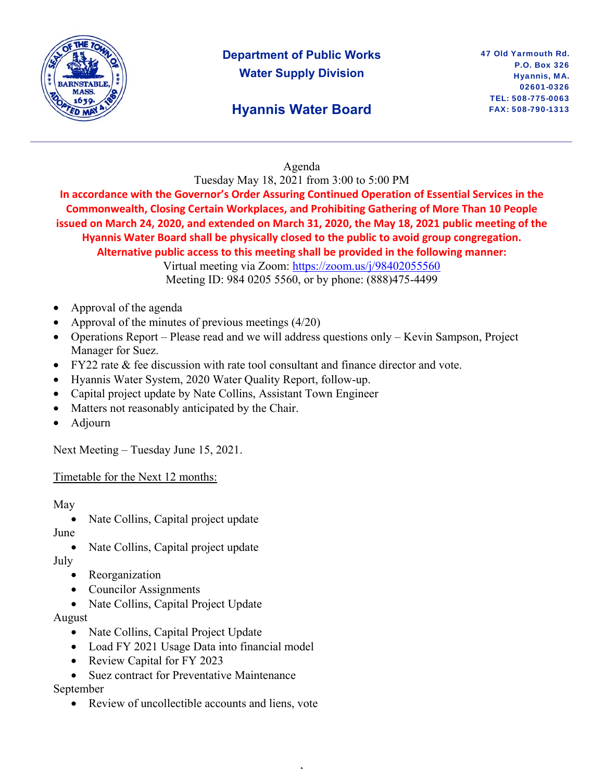

# **Department of Public Works Water Supply Division**

## **Hyannis Water Board**

### Agenda

Tuesday May 18, 2021 from 3:00 to 5:00 PM

**In accordance with the Governor's Order Assuring Continued Operation of Essential Services in the Commonwealth, Closing Certain Workplaces, and Prohibiting Gathering of More Than 10 People issued on March 24, 2020, and extended on March 31, 2020, the May 18, 2021 public meeting of the Hyannis Water Board shall be physically closed to the public to avoid group congregation. Alternative public access to this meeting shall be provided in the following manner:** 

Virtual meeting via Zoom: https://zoom.us/j/98402055560 Meeting ID: 984 0205 5560, or by phone: (888)475-4499

,

- Approval of the agenda
- Approval of the minutes of previous meetings (4/20)
- Operations Report Please read and we will address questions only Kevin Sampson, Project Manager for Suez.
- FY22 rate & fee discussion with rate tool consultant and finance director and vote.
- Hyannis Water System, 2020 Water Quality Report, follow-up.
- Capital project update by Nate Collins, Assistant Town Engineer
- Matters not reasonably anticipated by the Chair.
- Adjourn

Next Meeting – Tuesday June 15, 2021.

#### Timetable for the Next 12 months:

May

• Nate Collins, Capital project update

June

• Nate Collins, Capital project update

July

- **Reorganization**
- Councilor Assignments
- Nate Collins, Capital Project Update

August

- Nate Collins, Capital Project Update
- Load FY 2021 Usage Data into financial model
- Review Capital for FY 2023
- Suez contract for Preventative Maintenance

September

• Review of uncollectible accounts and liens, vote